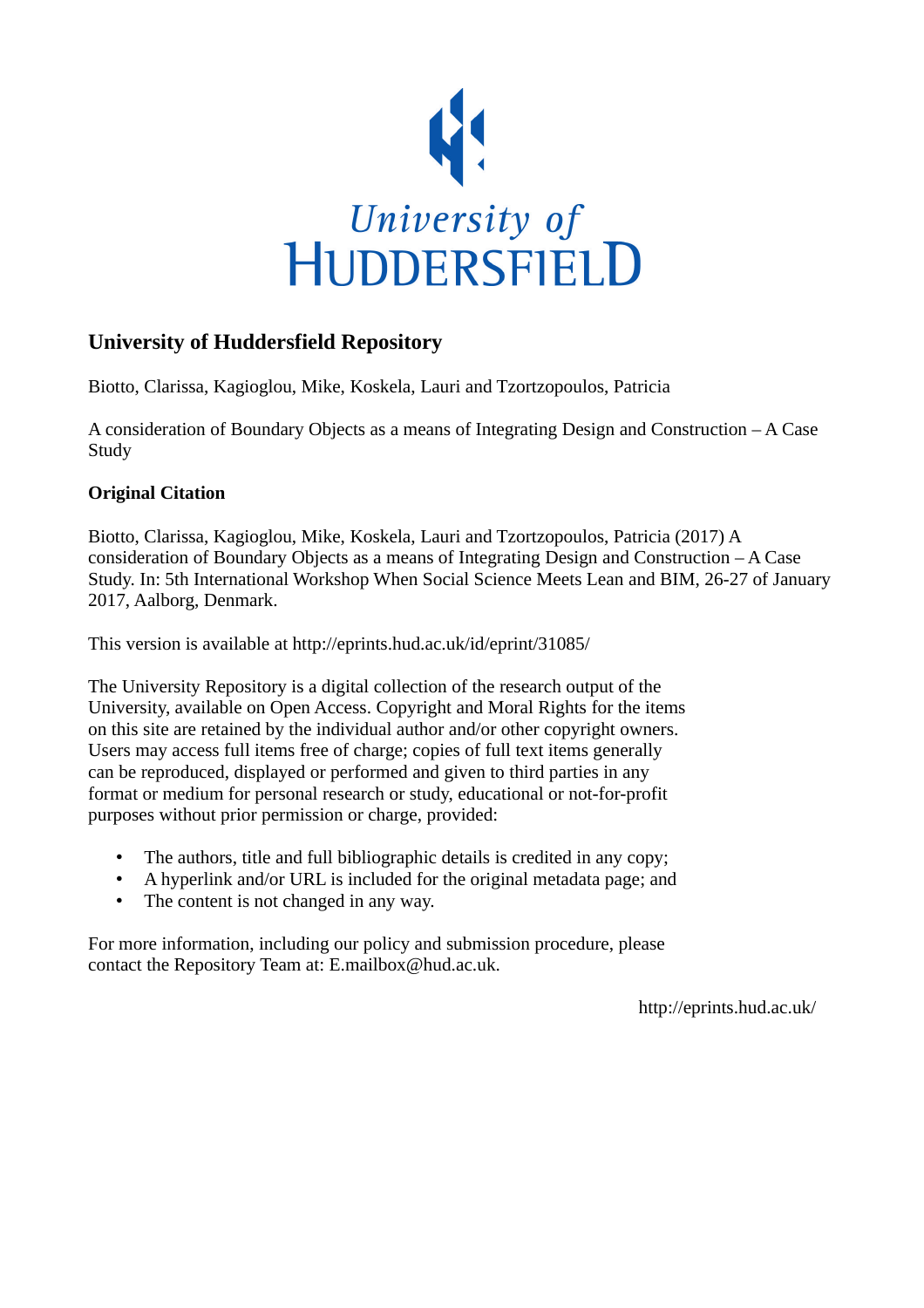

# **University of Huddersfield Repository**

Biotto, Clarissa, Kagioglou, Mike, Koskela, Lauri and Tzortzopoulos, Patricia

A consideration of Boundary Objects as a means of Integrating Design and Construction – A Case Study

## **Original Citation**

Biotto, Clarissa, Kagioglou, Mike, Koskela, Lauri and Tzortzopoulos, Patricia (2017) A consideration of Boundary Objects as a means of Integrating Design and Construction  $-A$  Case Study. In: 5th International Workshop When Social Science Meets Lean and BIM, 26-27 of January 2017, Aalborg, Denmark.

This version is available at http://eprints.hud.ac.uk/id/eprint/31085/

The University Repository is a digital collection of the research output of the University, available on Open Access. Copyright and Moral Rights for the items on this site are retained by the individual author and/or other copyright owners. Users may access full items free of charge; copies of full text items generally can be reproduced, displayed or performed and given to third parties in any format or medium for personal research or study, educational or not-for-profit purposes without prior permission or charge, provided:

- The authors, title and full bibliographic details is credited in any copy;
- A hyperlink and/or URL is included for the original metadata page; and
- The content is not changed in any way.

For more information, including our policy and submission procedure, please contact the Repository Team at: E.mailbox@hud.ac.uk.

http://eprints.hud.ac.uk/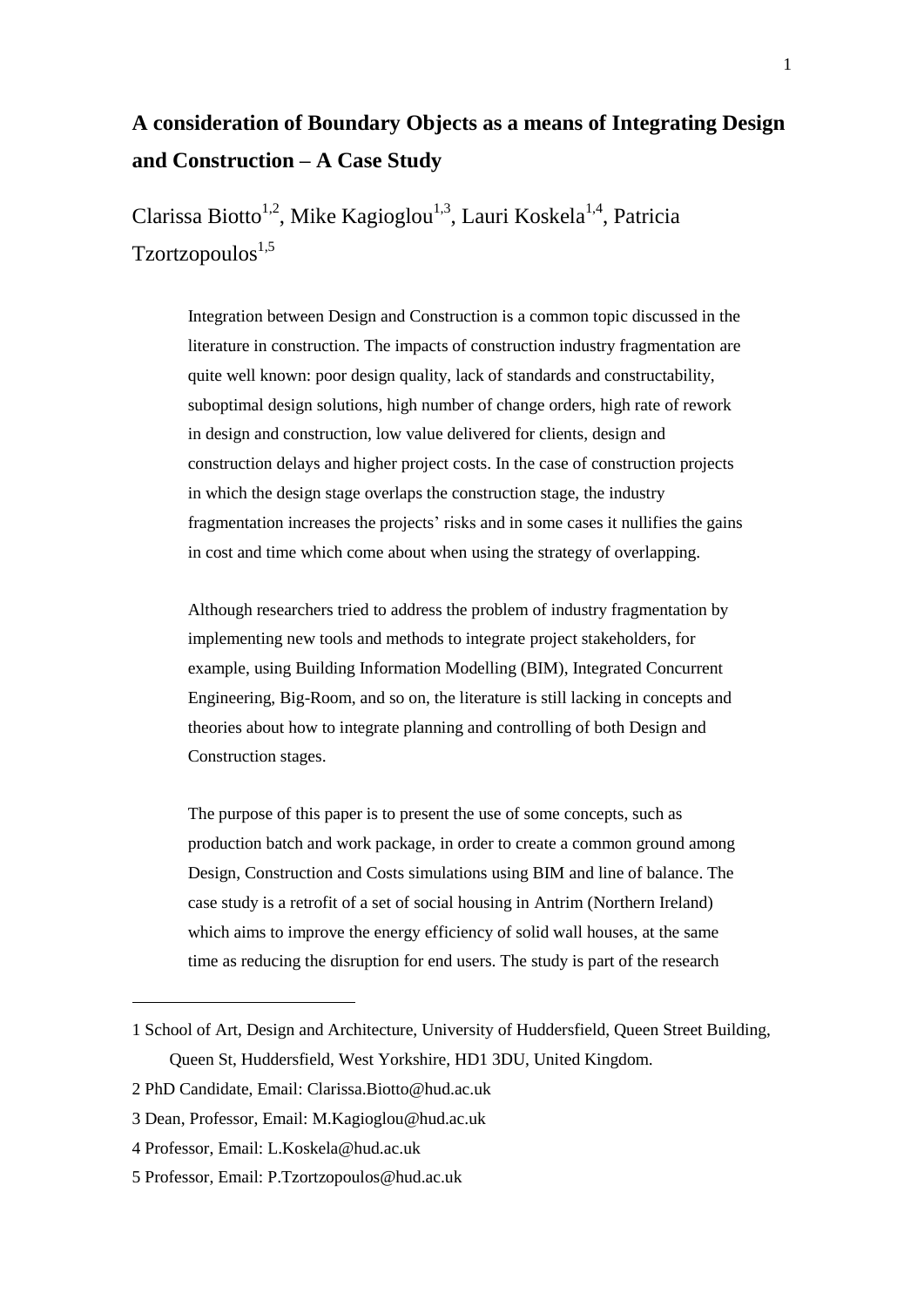# **A consideration of Boundary Objects as a means of Integrating Design and Construction – A Case Study**

Clarissa Biotto<sup>1,2</sup>, Mike Kagioglou<sup>1,3</sup>, Lauri Koskela<sup>1,4</sup>, Patricia  $Tzortzopoulos<sup>1,5</sup>$ 

> Integration between Design and Construction is a common topic discussed in the literature in construction. The impacts of construction industry fragmentation are quite well known: poor design quality, lack of standards and constructability, suboptimal design solutions, high number of change orders, high rate of rework in design and construction, low value delivered for clients, design and construction delays and higher project costs. In the case of construction projects in which the design stage overlaps the construction stage, the industry fragmentation increases the projects' risks and in some cases it nullifies the gains in cost and time which come about when using the strategy of overlapping.

Although researchers tried to address the problem of industry fragmentation by implementing new tools and methods to integrate project stakeholders, for example, using Building Information Modelling (BIM), Integrated Concurrent Engineering, Big-Room, and so on, the literature is still lacking in concepts and theories about how to integrate planning and controlling of both Design and Construction stages.

The purpose of this paper is to present the use of some concepts, such as production batch and work package, in order to create a common ground among Design, Construction and Costs simulations using BIM and line of balance. The case study is a retrofit of a set of social housing in Antrim (Northern Ireland) which aims to improve the energy efficiency of solid wall houses, at the same time as reducing the disruption for end users. The study is part of the research

1

<sup>1</sup> School of Art, Design and Architecture, University of Huddersfield, Queen Street Building, Queen St, Huddersfield, West Yorkshire, HD1 3DU, United Kingdom.

<sup>2</sup> PhD Candidate, Email: [Clarissa.Biotto@hud.ac.uk](mailto:Clarissa.Biotto@hud.ac.uk)

<sup>3</sup> Dean, Professor, Email: [M.Kagioglou@hud.ac.uk](mailto:M.Kagioglou@hud.ac.uk)

<sup>4</sup> Professor, Email: [L.Koskela@hud.ac.uk](mailto:L.Koskela@hud.ac.uk)

<sup>5</sup> Professor, Email: [P.Tzortzopoulos@hud.ac.uk](mailto:P.Tzortzopoulos@hud.ac.uk)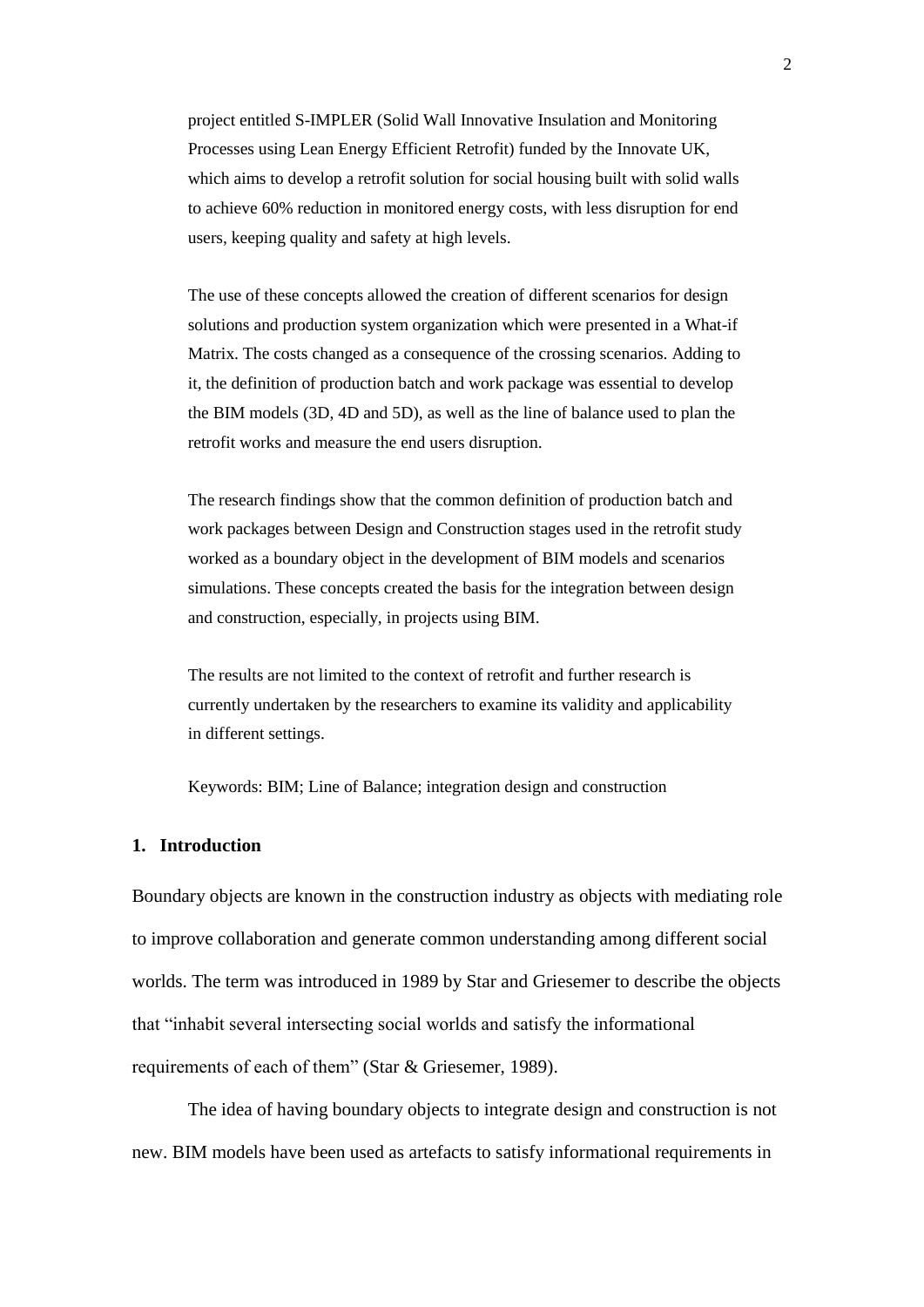project entitled S-IMPLER (Solid Wall Innovative Insulation and Monitoring Processes using Lean Energy Efficient Retrofit) funded by the Innovate UK, which aims to develop a retrofit solution for social housing built with solid walls to achieve 60% reduction in monitored energy costs, with less disruption for end users, keeping quality and safety at high levels.

The use of these concepts allowed the creation of different scenarios for design solutions and production system organization which were presented in a What-if Matrix. The costs changed as a consequence of the crossing scenarios. Adding to it, the definition of production batch and work package was essential to develop the BIM models (3D, 4D and 5D), as well as the line of balance used to plan the retrofit works and measure the end users disruption.

The research findings show that the common definition of production batch and work packages between Design and Construction stages used in the retrofit study worked as a boundary object in the development of BIM models and scenarios simulations. These concepts created the basis for the integration between design and construction, especially, in projects using BIM.

The results are not limited to the context of retrofit and further research is currently undertaken by the researchers to examine its validity and applicability in different settings.

Keywords: BIM; Line of Balance; integration design and construction

## **1. Introduction**

Boundary objects are known in the construction industry as objects with mediating role to improve collaboration and generate common understanding among different social worlds. The term was introduced in 1989 by Star and Griesemer to describe the objects that "inhabit several intersecting social worlds and satisfy the informational requirements of each of them" (Star & Griesemer, 1989).

The idea of having boundary objects to integrate design and construction is not new. BIM models have been used as artefacts to satisfy informational requirements in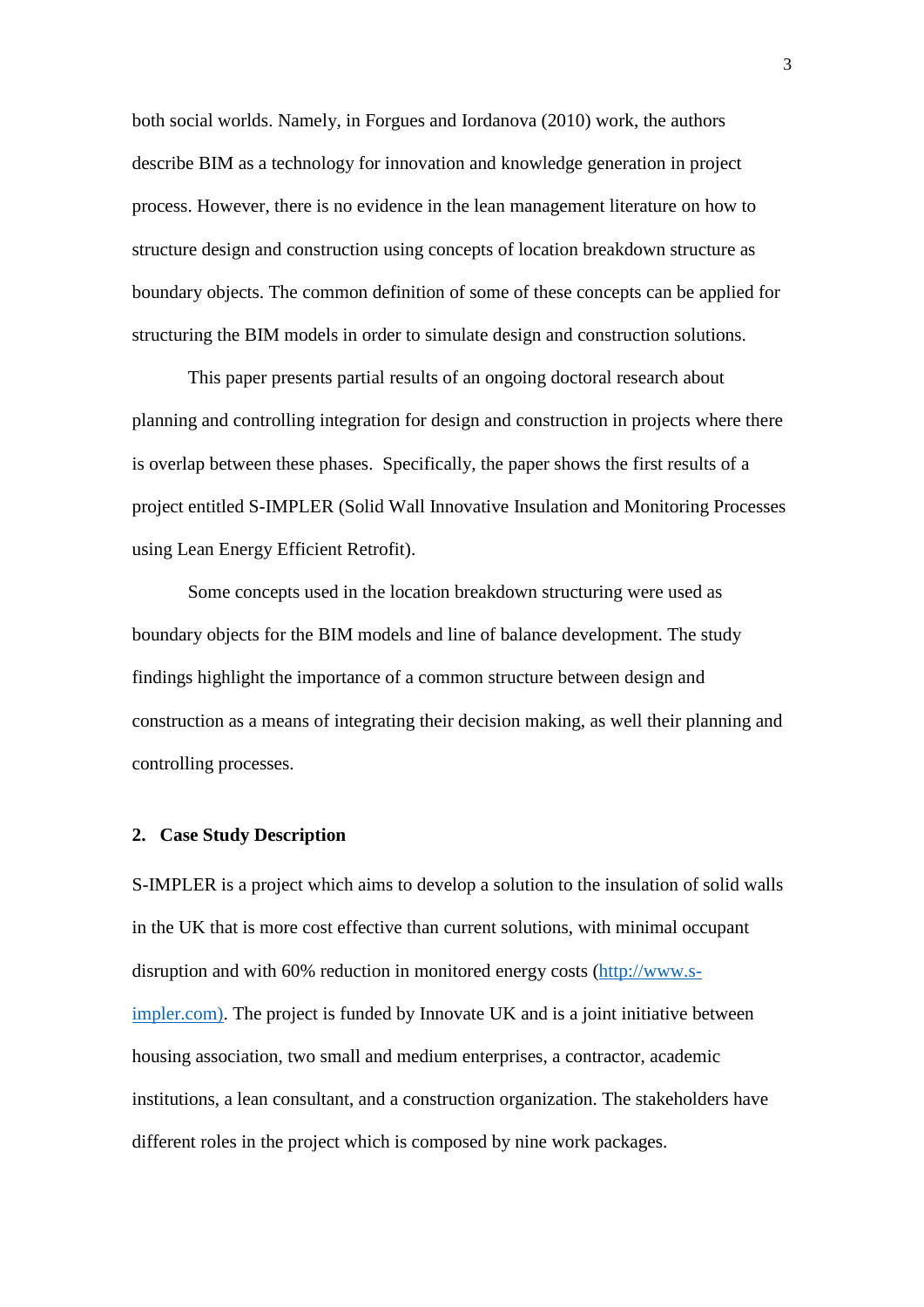both social worlds. Namely, in Forgues and Iordanova (2010) work, the authors describe BIM as a technology for innovation and knowledge generation in project process. However, there is no evidence in the lean management literature on how to structure design and construction using concepts of location breakdown structure as boundary objects. The common definition of some of these concepts can be applied for structuring the BIM models in order to simulate design and construction solutions.

This paper presents partial results of an ongoing doctoral research about planning and controlling integration for design and construction in projects where there is overlap between these phases. Specifically, the paper shows the first results of a project entitled S-IMPLER (Solid Wall Innovative Insulation and Monitoring Processes using Lean Energy Efficient Retrofit).

Some concepts used in the location breakdown structuring were used as boundary objects for the BIM models and line of balance development. The study findings highlight the importance of a common structure between design and construction as a means of integrating their decision making, as well their planning and controlling processes.

#### **2. Case Study Description**

S-IMPLER is a project which aims to develop a solution to the insulation of solid walls in the UK that is more cost effective than current solutions, with minimal occupant disruption and with 60% reduction in monitored energy costs [\(http://www.s](http://www.s-impler.com)/)[impler.com\).](http://www.s-impler.com)/) The project is funded by Innovate UK and is a joint initiative between housing association, two small and medium enterprises, a contractor, academic institutions, a lean consultant, and a construction organization. The stakeholders have different roles in the project which is composed by nine work packages.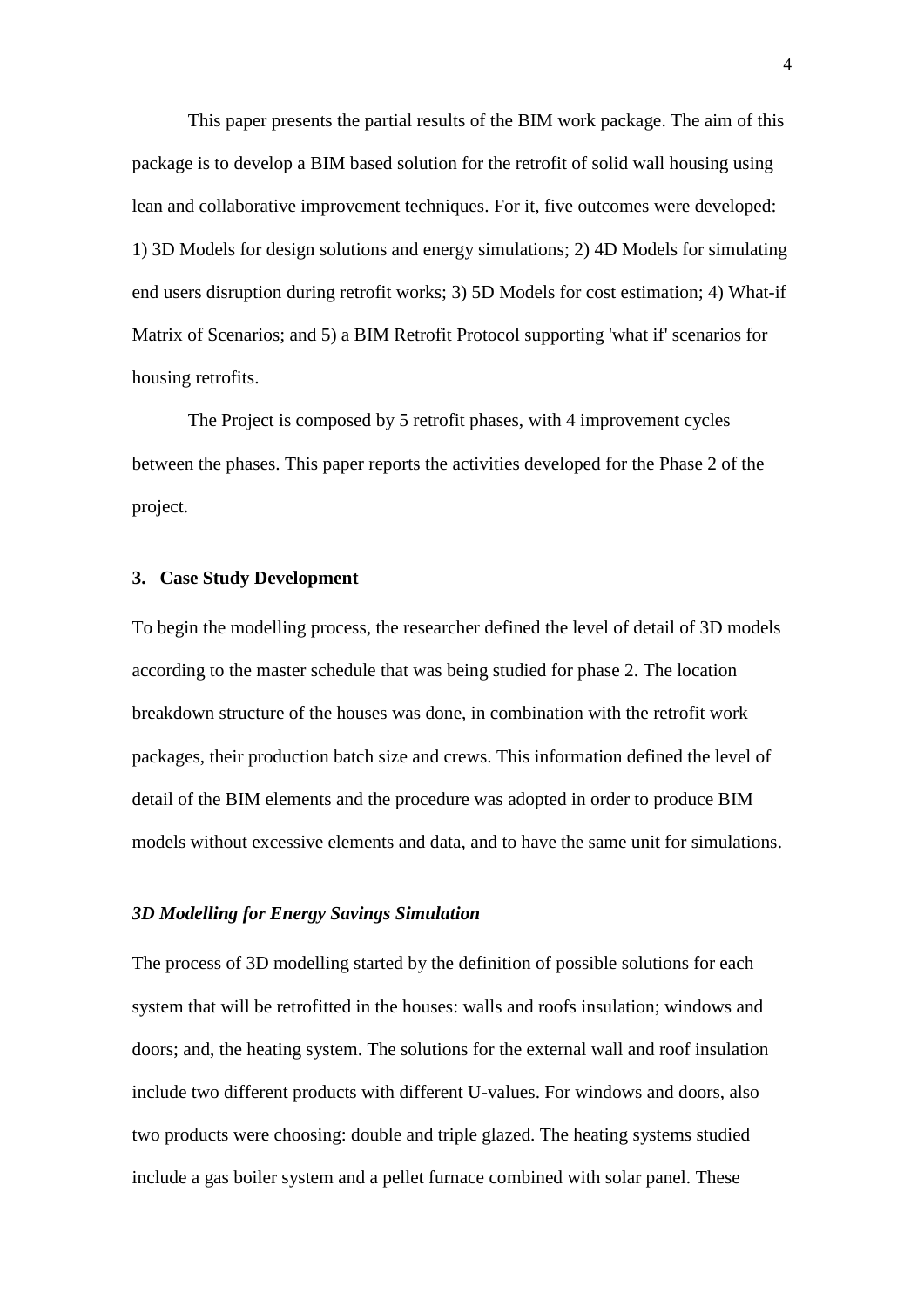This paper presents the partial results of the BIM work package. The aim of this package is to develop a BIM based solution for the retrofit of solid wall housing using lean and collaborative improvement techniques. For it, five outcomes were developed: 1) 3D Models for design solutions and energy simulations; 2) 4D Models for simulating end users disruption during retrofit works; 3) 5D Models for cost estimation; 4) What-if Matrix of Scenarios; and 5) a BIM Retrofit Protocol supporting 'what if' scenarios for housing retrofits.

The Project is composed by 5 retrofit phases, with 4 improvement cycles between the phases. This paper reports the activities developed for the Phase 2 of the project.

#### **3. Case Study Development**

To begin the modelling process, the researcher defined the level of detail of 3D models according to the master schedule that was being studied for phase 2. The location breakdown structure of the houses was done, in combination with the retrofit work packages, their production batch size and crews. This information defined the level of detail of the BIM elements and the procedure was adopted in order to produce BIM models without excessive elements and data, and to have the same unit for simulations.

#### *3D Modelling for Energy Savings Simulation*

The process of 3D modelling started by the definition of possible solutions for each system that will be retrofitted in the houses: walls and roofs insulation; windows and doors; and, the heating system. The solutions for the external wall and roof insulation include two different products with different U-values. For windows and doors, also two products were choosing: double and triple glazed. The heating systems studied include a gas boiler system and a pellet furnace combined with solar panel. These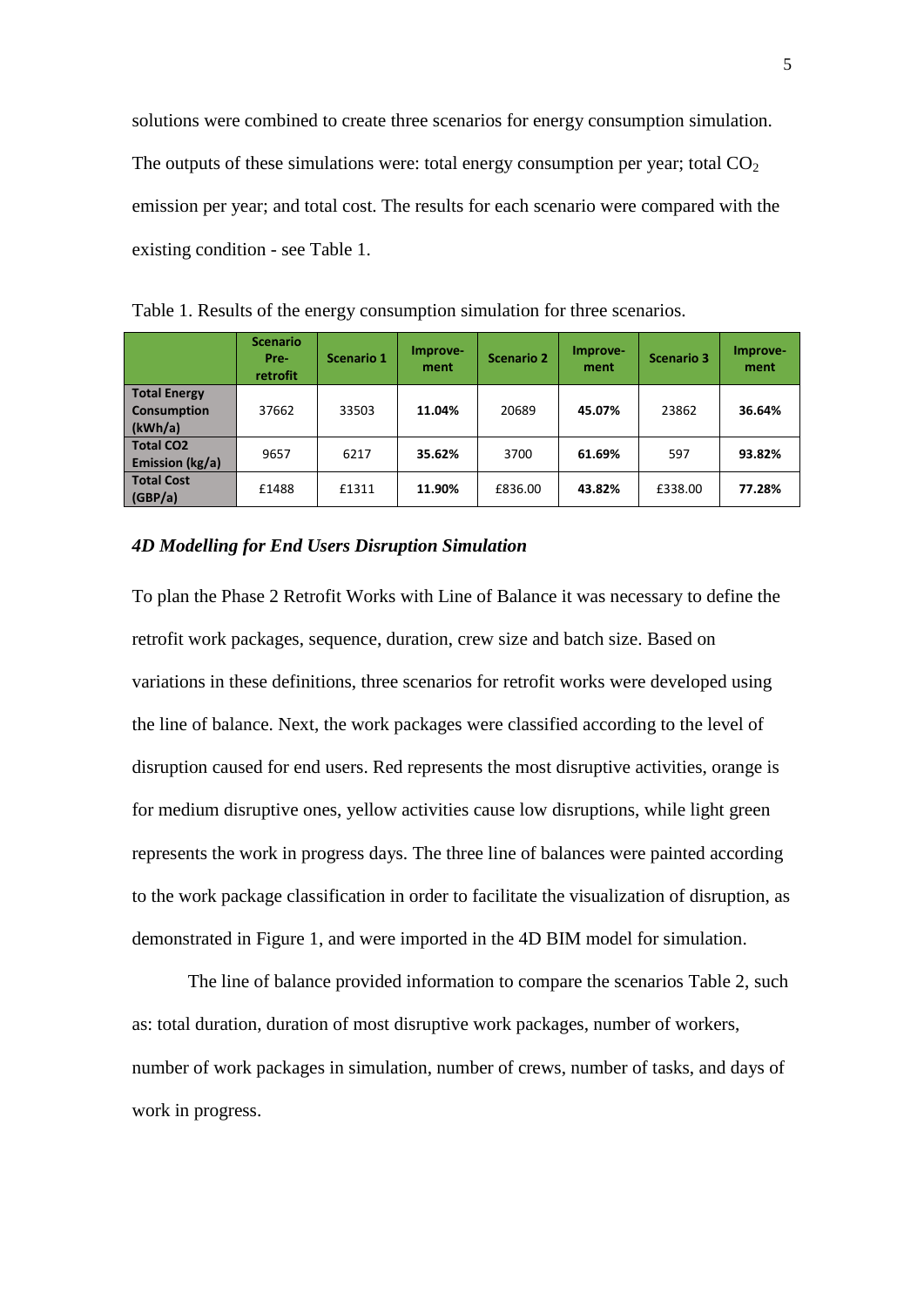solutions were combined to create three scenarios for energy consumption simulation. The outputs of these simulations were: total energy consumption per year; total  $CO<sub>2</sub>$ emission per year; and total cost. The results for each scenario were compared with the existing condition - see [Table 1.](#page-5-0)

|                                                      | <b>Scenario</b><br>Pre-<br><b>retrofit</b> | <b>Scenario 1</b> | Improve-<br>ment | <b>Scenario 2</b> | Improve-<br>ment | <b>Scenario 3</b> | Improve-<br>ment |
|------------------------------------------------------|--------------------------------------------|-------------------|------------------|-------------------|------------------|-------------------|------------------|
| <b>Total Energy</b><br><b>Consumption</b><br>(kWh/a) | 37662                                      | 33503             | 11.04%           | 20689             | 45.07%           | 23862             | 36.64%           |
| <b>Total CO2</b><br>Emission (kg/a)                  | 9657                                       | 6217              | 35.62%           | 3700              | 61.69%           | 597               | 93.82%           |
| <b>Total Cost</b><br>(GBP/a)                         | £1488                                      | £1311             | 11.90%           | £836.00           | 43.82%           | £338.00           | 77.28%           |

<span id="page-5-0"></span>Table 1. Results of the energy consumption simulation for three scenarios.

#### *4D Modelling for End Users Disruption Simulation*

To plan the Phase 2 Retrofit Works with Line of Balance it was necessary to define the retrofit work packages, sequence, duration, crew size and batch size. Based on variations in these definitions, three scenarios for retrofit works were developed using the line of balance. Next, the work packages were classified according to the level of disruption caused for end users. Red represents the most disruptive activities, orange is for medium disruptive ones, yellow activities cause low disruptions, while light green represents the work in progress days. The three line of balances were painted according to the work package classification in order to facilitate the visualization of disruption, as demonstrated in [Figure 1,](#page-6-0) and were imported in the 4D BIM model for simulation.

The line of balance provided information to compare the scenarios [Table 2,](#page-6-1) such as: total duration, duration of most disruptive work packages, number of workers, number of work packages in simulation, number of crews, number of tasks, and days of work in progress.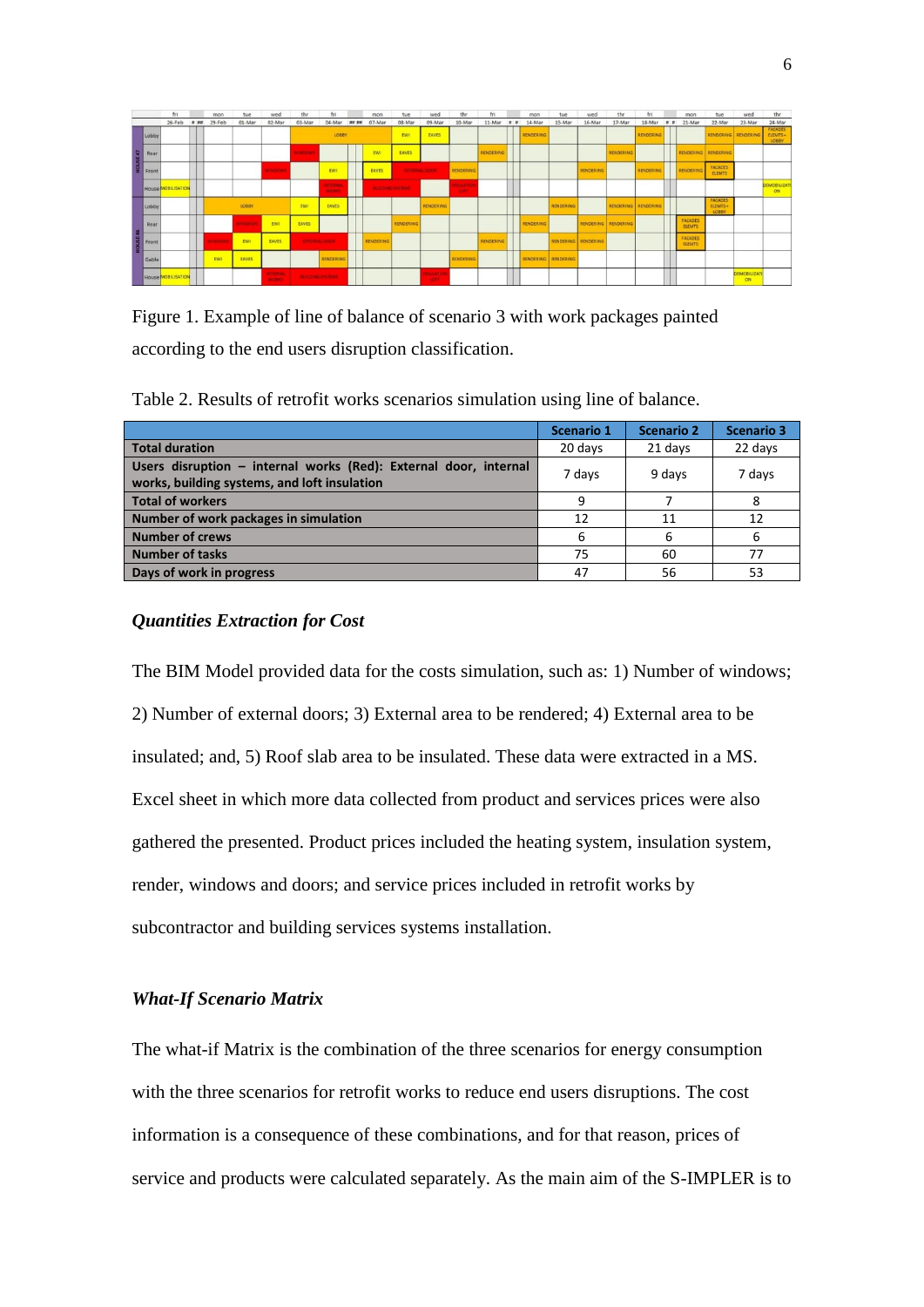|                                                                                         | fri                |         | mon            | tue    | wed                            | thr                          | fri                              |             | mon       | tue                     | wed                             | thr                           | fri              |         | mon       | tue                 | wed                   | the                 | fri              |   | mon                      | tue                                | wed               | thr                          |
|-----------------------------------------------------------------------------------------|--------------------|---------|----------------|--------|--------------------------------|------------------------------|----------------------------------|-------------|-----------|-------------------------|---------------------------------|-------------------------------|------------------|---------|-----------|---------------------|-----------------------|---------------------|------------------|---|--------------------------|------------------------------------|-------------------|------------------------------|
|                                                                                         | 26-Feb             | $n$ and | 29-Feb         | 01-Mar | 02-Mar                         | 03-Mar                       | 04-Mar                           | $n = n + 1$ | 07-Mar    | 08-Mar                  | 09-Mar                          | 10-Mar                        | 11-Mar           | $n - n$ | 14-Mar    | 15-Mar              | 16-Mar                | 17-Mar              | 18-Mar           | n | 21-Mar                   | 22-Mar                             | 23-Mar            | 24-Mar                       |
| Lobby                                                                                   |                    |         |                |        |                                |                              | <b>LOBBY</b>                     |             |           | EWI                     | EAVES                           |                               |                  |         | RENDERING |                     |                       |                     | <b>RENDERING</b> |   |                          | RENDERING   RENDERING              |                   | FACADES<br>ELEMTS +<br>LOBBY |
| $\begin{array}{c c}\n\hline\n\text{sec} \\ \text{d}\overline{u} \\ \hline\n\end{array}$ |                    |         |                |        |                                | <b><i><u>VINDOWS</u></i></b> |                                  |             | EWI       | EAVES                   |                                 |                               | <b>RENDERING</b> |         |           |                     |                       | RENDERING           |                  |   | RENDERING RENDERING      |                                    |                   |                              |
|                                                                                         |                    |         |                |        | <b>INDOWS</b>                  |                              | <b>EWI</b>                       |             | EAVES     | <b>EXTERNAL DOOR</b>    |                                 | RENDERING                     |                  |         |           |                     | RENDERING             |                     | RENDERING        |   | RENDERING                | FACADES<br><b>ELEMTS</b>           |                   |                              |
|                                                                                         | House MOBILISATION |         |                |        |                                |                              | <b>NTERNAL</b><br><b>ANGELES</b> |             |           | <b>BUILDING SYSTEMS</b> |                                 | <b>MARTION</b><br><b>SOFT</b> |                  |         |           |                     |                       |                     |                  |   |                          |                                    |                   | DEMOBILIZATI<br><b>ON</b>    |
| Lobby                                                                                   |                    |         |                | LOBBY  |                                | EWIT                         | EAVES                            |             |           |                         | RENDERING                       |                               |                  |         |           | RENDERING           |                       | RENDERING RENDERING |                  |   |                          | <b>FACADES</b><br>ELEMTS+<br>LOBBY |                   |                              |
| Rear                                                                                    |                    |         |                | moows  | <b>EWI</b>                     | <b>EAVES</b>                 |                                  |             |           | RENDERING               |                                 |                               |                  |         | RENDERING |                     |                       | RENDERING RENDERING |                  |   | FACADES<br><b>ELEMTS</b> |                                    |                   |                              |
| HOUSE 46                                                                                |                    |         | <b>CONTROL</b> | EWI    | EAVES                          |                              | <b>EXTERNAL FIGURE</b>           |             | RENDERING |                         |                                 |                               | <b>RENDERING</b> |         |           |                     | RENDERING   RENDERING |                     |                  |   | FACADES<br><b>ELEMTS</b> |                                    |                   |                              |
| Gable                                                                                   |                    |         | EWL            | EAVES  |                                |                              | RENDERING                        |             |           |                         |                                 | RENDERING                     |                  |         |           | RENDERING RENDERING |                       |                     |                  |   |                          |                                    |                   |                              |
|                                                                                         | House MOBILISATION |         |                |        | <b>STERNAL</b><br><b>ACRES</b> |                              | <b>BUILDING SYSTEMS</b>          |             |           |                         | <b>KALLATION</b><br><b>SOFT</b> |                               |                  |         |           |                     |                       |                     |                  |   |                          |                                    | DEMOBILIZAT<br>ON |                              |

<span id="page-6-0"></span>Figure 1. Example of line of balance of scenario 3 with work packages painted according to the end users disruption classification.

<span id="page-6-1"></span>Table 2. Results of retrofit works scenarios simulation using line of balance.

|                                                                                                                  | <b>Scenario 1</b> | <b>Scenario 2</b> | <b>Scenario 3</b> |
|------------------------------------------------------------------------------------------------------------------|-------------------|-------------------|-------------------|
| <b>Total duration</b>                                                                                            | 20 days           | 21 days           | 22 days           |
| Users disruption - internal works (Red): External door, internal<br>works, building systems, and loft insulation | 7 days            | 9 days            | 7 days            |
| <b>Total of workers</b>                                                                                          | 9                 |                   | 8                 |
| Number of work packages in simulation                                                                            | 12                | 11                | 12                |
| <b>Number of crews</b>                                                                                           | 6                 | 6                 | 6                 |
| <b>Number of tasks</b>                                                                                           | 75                | 60                | 77                |
| Days of work in progress                                                                                         | 47                | 56                | 53                |

## *Quantities Extraction for Cost*

The BIM Model provided data for the costs simulation, such as: 1) Number of windows; 2) Number of external doors; 3) External area to be rendered; 4) External area to be insulated; and, 5) Roof slab area to be insulated. These data were extracted in a MS. Excel sheet in which more data collected from product and services prices were also gathered the presented. Product prices included the heating system, insulation system, render, windows and doors; and service prices included in retrofit works by subcontractor and building services systems installation.

#### *What-If Scenario Matrix*

The what-if Matrix is the combination of the three scenarios for energy consumption with the three scenarios for retrofit works to reduce end users disruptions. The cost information is a consequence of these combinations, and for that reason, prices of service and products were calculated separately. As the main aim of the S-IMPLER is to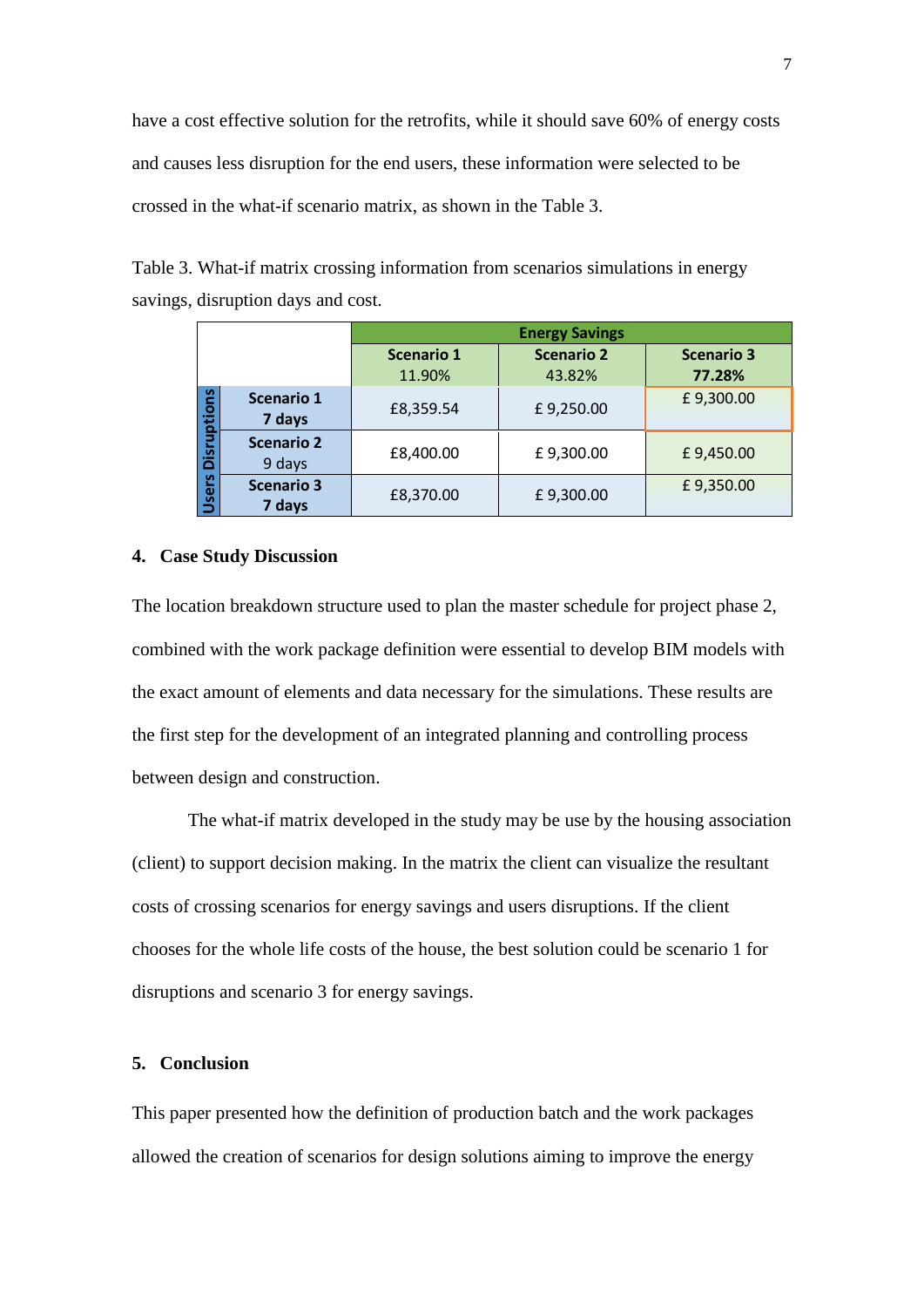have a cost effective solution for the retrofits, while it should save 60% of energy costs and causes less disruption for the end users, these information were selected to be crossed in the what-if scenario matrix, as shown in the [Table 3.](#page-7-0)

|                         |                             | <b>Energy Savings</b> |                   |                   |  |  |  |  |  |
|-------------------------|-----------------------------|-----------------------|-------------------|-------------------|--|--|--|--|--|
|                         |                             | <b>Scenario 1</b>     | <b>Scenario 2</b> | <b>Scenario 3</b> |  |  |  |  |  |
|                         |                             | 11.90%                | 43.82%            | 77.28%            |  |  |  |  |  |
| <b>S</b><br>န<br>Φ<br>Ω | <b>Scenario 1</b><br>7 days | £8,359.54             | £9,250.00         | £9,300.00         |  |  |  |  |  |
| ត<br>۵                  | <b>Scenario 2</b><br>9 days | £8,400.00             | £9,300.00         | £9,450.00         |  |  |  |  |  |
| ပ္ပ<br>ω<br><b>S</b>    | <b>Scenario 3</b><br>7 days | £8,370.00             | £9,300.00         | £9,350.00         |  |  |  |  |  |

<span id="page-7-0"></span>Table 3. What-if matrix crossing information from scenarios simulations in energy savings, disruption days and cost.

#### **4. Case Study Discussion**

The location breakdown structure used to plan the master schedule for project phase 2, combined with the work package definition were essential to develop BIM models with the exact amount of elements and data necessary for the simulations. These results are the first step for the development of an integrated planning and controlling process between design and construction.

The what-if matrix developed in the study may be use by the housing association (client) to support decision making. In the matrix the client can visualize the resultant costs of crossing scenarios for energy savings and users disruptions. If the client chooses for the whole life costs of the house, the best solution could be scenario 1 for disruptions and scenario 3 for energy savings.

#### **5. Conclusion**

This paper presented how the definition of production batch and the work packages allowed the creation of scenarios for design solutions aiming to improve the energy